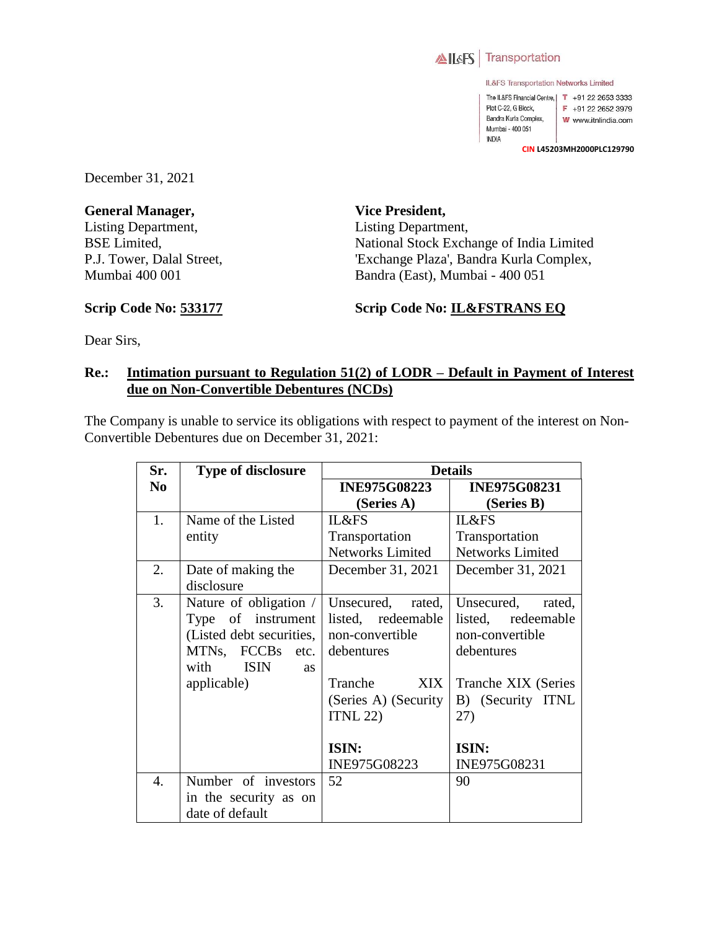

IL&FS Transportation Networks Limited

The IL&FS Financial Centre, | T +91 22 2653 3333 Plot C-22, G Block, F +91 22 2652 3979 Bandra Kurla Complex, W www.itnlindia.com Mumbai - 400 051 **INDIA** 

**CIN L45203MH2000PLC129790**

December 31, 2021

**General Manager,**  Listing Department, BSE Limited, P.J. Tower, Dalal Street, Mumbai 400 001

**Vice President,**  Listing Department, National Stock Exchange of India Limited 'Exchange Plaza', Bandra Kurla Complex, Bandra (East), Mumbai - 400 051

**Scrip Code No: 533177**

**Scrip Code No: IL&FSTRANS EQ**

Dear Sirs,

## **Re.: Intimation pursuant to Regulation 51(2) of LODR – Default in Payment of Interest due on Non-Convertible Debentures (NCDs)**

The Company is unable to service its obligations with respect to payment of the interest on Non-Convertible Debentures due on December 31, 2021:

| Sr.            | Type of disclosure               | <b>Details</b>          |                         |
|----------------|----------------------------------|-------------------------|-------------------------|
| N <sub>0</sub> |                                  | <b>INE975G08223</b>     | <b>INE975G08231</b>     |
|                |                                  | (Series A)              | (Series B)              |
| 1.             | Name of the Listed               | IL&FS                   | <b>IL&amp;FS</b>        |
|                | entity                           | Transportation          | Transportation          |
|                |                                  | <b>Networks Limited</b> | <b>Networks Limited</b> |
| 2.             | Date of making the               | December 31, 2021       | December 31, 2021       |
|                | disclosure                       |                         |                         |
| 3.             | Nature of obligation /           | Unsecured,<br>rated,    | Unsecured,<br>rated,    |
|                | Type of instrument               | listed, redeemable      | listed, redeemable      |
|                | (Listed debt securities,         | non-convertible         | non-convertible         |
|                | MTNs, FCCBs etc.                 | debentures              | debentures              |
|                | <b>ISIN</b><br>with<br><b>as</b> |                         |                         |
|                | applicable)                      | <b>XIX</b><br>Tranche   | Tranche XIX (Series     |
|                |                                  | (Series A) (Security    | B) (Security ITNL       |
|                |                                  | ITNL 22                 | 27)                     |
|                |                                  |                         |                         |
|                |                                  | ISIN:                   | ISIN:                   |
|                |                                  | INE975G08223            | INE975G08231            |
| 4.             | Number of investors              | 52                      | 90                      |
|                | in the security as on            |                         |                         |
|                | date of default                  |                         |                         |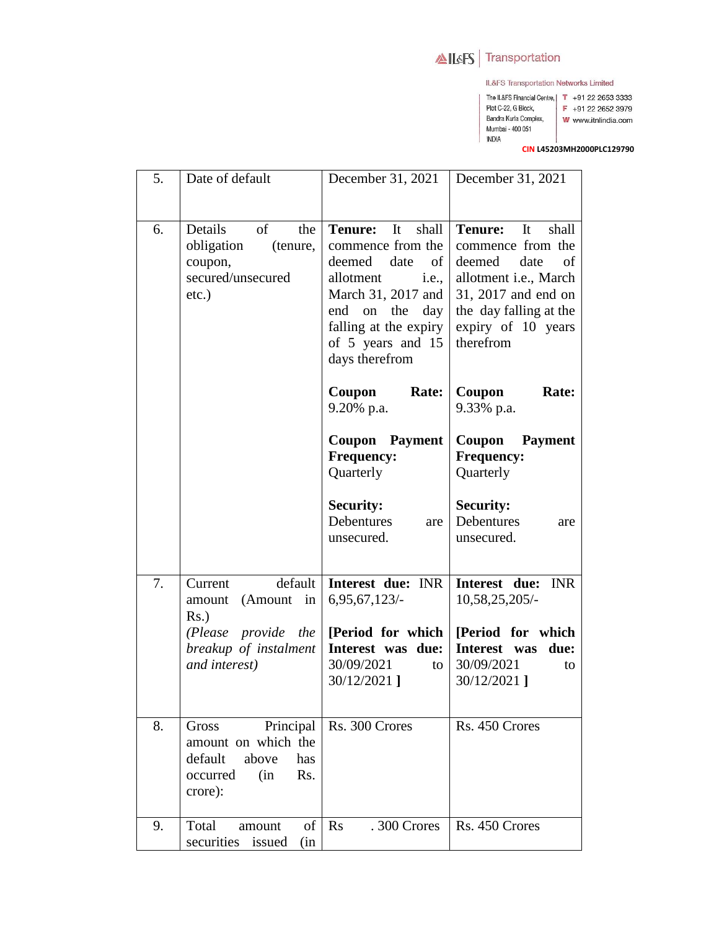## AILAFS Transportation

Plot C-22, G Block,

Mumbai - 400 051 **INDIA** 

IL&FS Transportation Networks Limited

- The IL&FS Financial Centre, | T +91 22 2653 3333
- F +91 22 2652 3979 Bandra Kurla Complex,
	- W www.itnlindia.com
	-

CIN L45203MH2000PLC129790

| 5. | Date of default                                                                                           | December 31, 2021                                                                                                                                                                                                        | December 31, 2021                                                                                                                                                                       |
|----|-----------------------------------------------------------------------------------------------------------|--------------------------------------------------------------------------------------------------------------------------------------------------------------------------------------------------------------------------|-----------------------------------------------------------------------------------------------------------------------------------------------------------------------------------------|
|    |                                                                                                           |                                                                                                                                                                                                                          |                                                                                                                                                                                         |
| 6. | Details<br>of<br>the<br>obligation<br>(tenure,<br>coupon,<br>secured/unsecured<br>$etc.$ )                | <b>Tenure:</b><br>shall<br>It<br>commence from the<br>deemed<br>date<br>of<br>allotment<br><i>i.e.,</i><br>March 31, 2017 and<br>the<br>day<br>end<br>on<br>falling at the expiry<br>of 5 years and 15<br>days therefrom | <b>Tenure:</b><br>shall<br>It<br>commence from the<br>date<br>deemed<br>of<br>allotment i.e., March<br>31, 2017 and end on<br>the day falling at the<br>expiry of 10 years<br>therefrom |
|    |                                                                                                           | Rate:<br>Coupon<br>9.20% p.a.                                                                                                                                                                                            | Coupon<br>Rate:<br>9.33% p.a.                                                                                                                                                           |
|    |                                                                                                           | Coupon Payment<br><b>Frequency:</b><br>Quarterly                                                                                                                                                                         | Coupon<br><b>Payment</b><br><b>Frequency:</b><br>Quarterly                                                                                                                              |
|    |                                                                                                           | <b>Security:</b><br>Debentures<br>are<br>unsecured.                                                                                                                                                                      | <b>Security:</b><br>Debentures<br>are<br>unsecured.                                                                                                                                     |
| 7. | default<br>Current<br>(Amount<br>in<br>amount<br>$Rs.$ )                                                  | Interest due: INR<br>6,95,67,123/                                                                                                                                                                                        | Interest due:<br><b>INR</b><br>10,58,25,205/-                                                                                                                                           |
|    | (Please provide the<br>breakup of instalment<br>and interest)                                             | [Period for which  <br>Interest was due:<br>30/09/2021<br>to<br>30/12/2021]                                                                                                                                              | [Period for which]<br>Interest was<br>due:<br>30/09/2021<br>to<br>30/12/2021]                                                                                                           |
| 8. | Principal<br>Gross<br>amount on which the<br>default<br>has<br>above<br>occurred<br>(in<br>Rs.<br>crore): | Rs. 300 Crores                                                                                                                                                                                                           | Rs. 450 Crores                                                                                                                                                                          |
| 9. | of<br>Total<br>amount<br>securities issued<br>(in                                                         | $\mathbf{R}$ s<br>.300 Crores                                                                                                                                                                                            | Rs. 450 Crores                                                                                                                                                                          |